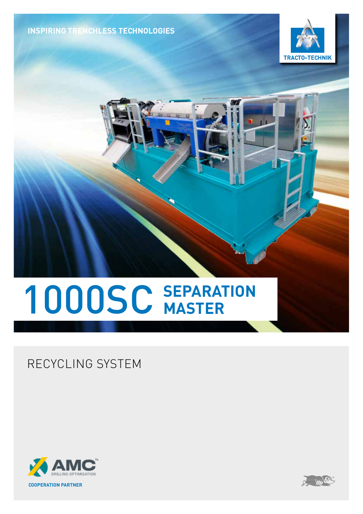**INSPIRING TRENCHLESS TECHNOLOGIES**





# **SEPARATION** 1000SC **MASTER**

RECYCLING SYSTEM